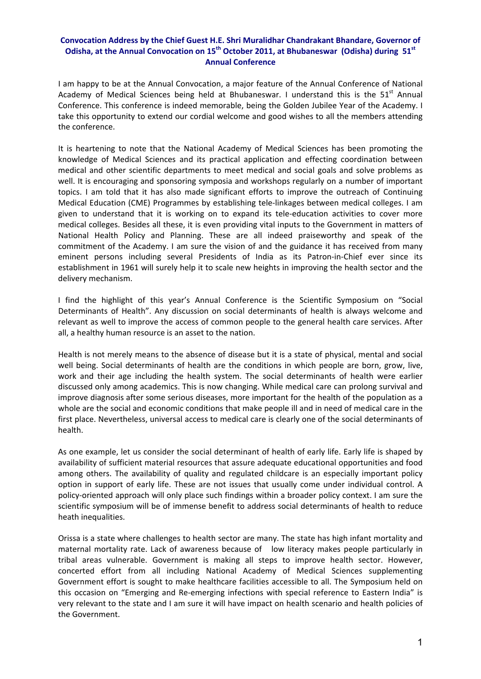## **Convocation Address by the Chief Guest H.E. Shri Muralidhar Chandrakant Bhandare, Governor of Odisha, at the Annual Convocation on 15th October 2011, at Bhubaneswar (Odisha) during 51st Annual Conference**

I am happy to be at the Annual Convocation, a major feature of the Annual Conference of National Academy of Medical Sciences being held at Bhubaneswar. I understand this is the  $51<sup>st</sup>$  Annual Conference. This conference is indeed memorable, being the Golden Jubilee Year of the Academy. I take this opportunity to extend our cordial welcome and good wishes to all the members attending the conference.

It is heartening to note that the National Academy of Medical Sciences has been promoting the knowledge of Medical Sciences and its practical application and effecting coordination between medical and other scientific departments to meet medical and social goals and solve problems as well. It is encouraging and sponsoring symposia and workshops regularly on a number of important topics. I am told that it has also made significant efforts to improve the outreach of Continuing Medical Education (CME) Programmes by establishing tele‐linkages between medical colleges. I am given to understand that it is working on to expand its tele-education activities to cover more medical colleges. Besides all these, it is even providing vital inputs to the Government in matters of National Health Policy and Planning. These are all indeed praiseworthy and speak of the commitment of the Academy. I am sure the vision of and the guidance it has received from many eminent persons including several Presidents of India as its Patron-in-Chief ever since its establishment in 1961 will surely help it to scale new heights in improving the health sector and the delivery mechanism.

I find the highlight of this year's Annual Conference is the Scientific Symposium on "Social Determinants of Health". Any discussion on social determinants of health is always welcome and relevant as well to improve the access of common people to the general health care services. After all, a healthy human resource is an asset to the nation.

Health is not merely means to the absence of disease but it is a state of physical, mental and social well being. Social determinants of health are the conditions in which people are born, grow, live, work and their age including the health system. The social determinants of health were earlier discussed only among academics. This is now changing. While medical care can prolong survival and improve diagnosis after some serious diseases, more important for the health of the population as a whole are the social and economic conditions that make people ill and in need of medical care in the first place. Nevertheless, universal access to medical care is clearly one of the social determinants of health.

As one example, let us consider the social determinant of health of early life. Early life is shaped by availability of sufficient material resources that assure adequate educational opportunities and food among others. The availability of quality and regulated childcare is an especially important policy option in support of early life. These are not issues that usually come under individual control. A policy‐oriented approach will only place such findings within a broader policy context. I am sure the scientific symposium will be of immense benefit to address social determinants of health to reduce heath inequalities.

Orissa is a state where challenges to health sector are many. The state has high infant mortality and maternal mortality rate. Lack of awareness because of low literacy makes people particularly in tribal areas vulnerable. Government is making all steps to improve health sector. However, concerted effort from all including National Academy of Medical Sciences supplementing Government effort is sought to make healthcare facilities accessible to all. The Symposium held on this occasion on "Emerging and Re‐emerging infections with special reference to Eastern India" is very relevant to the state and I am sure it will have impact on health scenario and health policies of the Government.